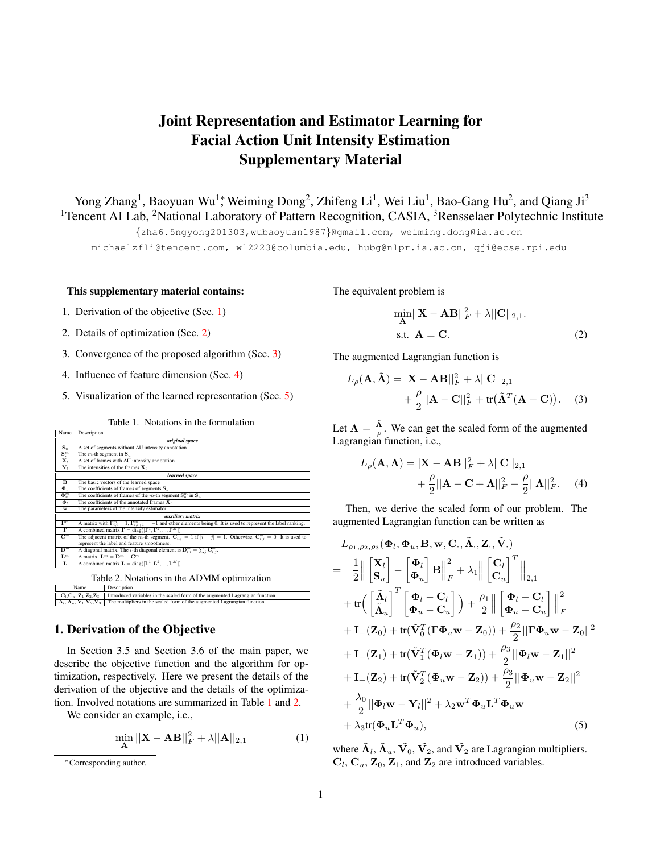# Joint Representation and Estimator Learning for Facial Action Unit Intensity Estimation Supplementary Material

Yong Zhang<sup>1</sup>, Baoyuan Wu<sup>1</sup>; Weiming Dong<sup>2</sup>, Zhifeng Li<sup>1</sup>, Wei Liu<sup>1</sup>, Bao-Gang Hu<sup>2</sup>, and Qiang Ji<sup>3</sup> <sup>1</sup>Tencent AI Lab, <sup>2</sup>National Laboratory of Pattern Recognition, CASIA, <sup>3</sup>Rensselaer Polytechnic Institute

{zha6.5ngyong201303,wubaoyuan1987}@gmail.com, weiming.dong@ia.ac.cn

michaelzfli@tencent.com, wl2223@columbia.edu, hubg@nlpr.ia.ac.cn, qji@ecse.rpi.edu

#### This supplementary material contains:

- 1. Derivation of the objective (Sec. [1\)](#page-0-0)
- 2. Details of optimization (Sec. [2\)](#page-1-0)
- 3. Convergence of the proposed algorithm (Sec. [3\)](#page-2-0)
- 4. Influence of feature dimension (Sec. [4\)](#page-2-1)
- 5. Visualization of the learned representation (Sec. [5\)](#page-2-2)

Table 1. Notations in the formulation

<span id="page-0-1"></span>

| Name                                                                   | Description                                                                                                                         |                                                                              |
|------------------------------------------------------------------------|-------------------------------------------------------------------------------------------------------------------------------------|------------------------------------------------------------------------------|
| original space                                                         |                                                                                                                                     |                                                                              |
| $\mathbf{S}_u$                                                         | A set of segments without AU intensity annotation                                                                                   |                                                                              |
| $\mathbf{S}^m_u$                                                       | The $m$ -th segment in $S_u$                                                                                                        |                                                                              |
| $\mathbf{X}_l$                                                         | A set of frames with AU intensity annotation                                                                                        |                                                                              |
| $\mathbf{Y}_l$                                                         | The intensities of the frames $X_l$                                                                                                 |                                                                              |
| learned space                                                          |                                                                                                                                     |                                                                              |
| $\overline{B}$                                                         | The basic vectors of the learned space                                                                                              |                                                                              |
| $\Phi_u$                                                               | The coefficients of frames of segments $S_u$                                                                                        |                                                                              |
| $\overline{\mathbf{\Phi}_u^m}$                                         | The coefficients of frames of the m-th segment $S_n^m$ in $S_n$                                                                     |                                                                              |
| $\Phi$                                                                 | The coefficients of the annotated frames $X_i$                                                                                      |                                                                              |
| w                                                                      | The parameters of the intensity estimator                                                                                           |                                                                              |
| auxiliary matrix                                                       |                                                                                                                                     |                                                                              |
| $\overline{\Gamma^m}$                                                  | A matrix with $\Gamma_{i,i}^m = 1$ , $\Gamma_{i,i+1}^m = -1$ and other elements being 0. It is used to represent the label ranking. |                                                                              |
| г                                                                      | A combined matrix $\mathbf{\Gamma} = \text{diag}([\mathbf{\Gamma}^1, \mathbf{\Gamma}^2, , \mathbf{\Gamma}^M])$                      |                                                                              |
| $\mathbf{C}^m$                                                         | The adjacent matrix of the m-th segment. $C_{i,j}^m = 1$ if $ i - j  = 1$ . Otherwise, $C_{i,j}^m = 0$ . It is used to              |                                                                              |
|                                                                        | represent the label and feature smoothness.                                                                                         |                                                                              |
| $\overline{\mathbf{D}^m}$                                              | A diagonal matrix. The <i>i</i> -th diagonal element is $D_{i,i}^m = \sum_i C_{i,i}^m$ .                                            |                                                                              |
| $L^m$                                                                  | A matrix. $\mathbf{L}^m = \mathbf{D}^m - \mathbf{C}^m$ .                                                                            |                                                                              |
| L                                                                      | A combined matrix $\mathbf{L} = \text{diag}([\mathbf{L}^1, \mathbf{L}^2, , \mathbf{L}^M])$                                          |                                                                              |
| Table 2. Notations in the ADMM optimization                            |                                                                                                                                     |                                                                              |
| Name                                                                   |                                                                                                                                     | Description                                                                  |
| $\mathbf{C}_l, \mathbf{C}_u, \mathbf{Z}_1, \mathbf{Z}_2, \mathbf{Z}_3$ |                                                                                                                                     | Introduced variables in the scaled form of the augmented Lagrangian function |
| $\Lambda_l, \Lambda_u, V_1, V_2, V_3$                                  |                                                                                                                                     | The multipliers in the scaled form of the augmented Lagrangian function      |

# <span id="page-0-2"></span><span id="page-0-0"></span>1. Derivation of the Objective

In Section 3.5 and Section 3.6 of the main paper, we describe the objective function and the algorithm for optimization, respectively. Here we present the details of the derivation of the objective and the details of the optimization. Involved notations are summarized in Table [1](#page-0-1) and [2.](#page-0-2)

We consider an example, i.e.,

$$
\min_{\mathbf{A}} ||\mathbf{X} - \mathbf{A}\mathbf{B}||_F^2 + \lambda ||\mathbf{A}||_{2,1}
$$
 (1)

The equivalent problem is

$$
\min_{\mathbf{A}} ||\mathbf{X} - \mathbf{A}\mathbf{B}||_F^2 + \lambda ||\mathbf{C}||_{2,1}.
$$
  
s.t.  $\mathbf{A} = \mathbf{C}.$  (2)

The augmented Lagrangian function is

$$
L_{\rho}(\mathbf{A}, \tilde{\mathbf{\Lambda}}) = ||\mathbf{X} - \mathbf{A}\mathbf{B}||_F^2 + \lambda ||\mathbf{C}||_{2,1} + \frac{\rho}{2} ||\mathbf{A} - \mathbf{C}||_F^2 + \text{tr}(\tilde{\mathbf{\Lambda}}^T (\mathbf{A} - \mathbf{C})).
$$
 (3)

Let  $\Lambda = \frac{\tilde{\Lambda}}{\rho}$ . We can get the scaled form of the augmented Lagrangian function, i.e.,

$$
L_{\rho}(\mathbf{A}, \mathbf{\Lambda}) = ||\mathbf{X} - \mathbf{A}\mathbf{B}||_F^2 + \lambda ||\mathbf{C}||_{2,1} + \frac{\rho}{2} ||\mathbf{A} - \mathbf{C} + \mathbf{\Lambda}||_F^2 - \frac{\rho}{2} ||\mathbf{\Lambda}||_F^2.
$$
 (4)

Then, we derive the scaled form of our problem. The augmented Lagrangian function can be written as

$$
L_{\rho_1,\rho_2,\rho_3}(\Phi_l, \Phi_u, B, w, C., \tilde{\Lambda}_., Z., \tilde{V}.)
$$
\n
$$
= \frac{1}{2} \left\| \begin{bmatrix} \mathbf{X}_l \\ \mathbf{S}_u \end{bmatrix} - \begin{bmatrix} \Phi_l \\ \Phi_u \end{bmatrix} \mathbf{B} \right\|_F^2 + \lambda_1 \left\| \begin{bmatrix} \mathbf{C}_l \\ \mathbf{C}_u \end{bmatrix}^T \right\|_{2,1} + \text{tr} \Big( \begin{bmatrix} \tilde{\Lambda}_l \\ \tilde{\Lambda}_u \end{bmatrix}^T \begin{bmatrix} \Phi_l - \mathbf{C}_l \\ \Phi_u - \mathbf{C}_u \end{bmatrix} \Big) + \frac{\rho_1}{2} \left\| \begin{bmatrix} \Phi_l - \mathbf{C}_l \\ \Phi_u - \mathbf{C}_u \end{bmatrix} \right\|_F^2 + \text{I}_{-}(Z_0) + \text{tr}(\tilde{\mathbf{V}}_0^T (\mathbf{\Gamma} \Phi_u \mathbf{w} - Z_0)) + \frac{\rho_2}{2} ||\mathbf{\Gamma} \Phi_u \mathbf{w} - Z_0||^2 + \text{I}_{+}(Z_1) + \text{tr}(\tilde{\mathbf{V}}_1^T (\Phi_l \mathbf{w} - Z_1)) + \frac{\rho_3}{2} ||\Phi_l \mathbf{w} - Z_1||^2 + \text{I}_{+}(Z_2) + \text{tr}(\tilde{\mathbf{V}}_2^T (\Phi_u \mathbf{w} - Z_2)) + \frac{\rho_3}{2} ||\Phi_u \mathbf{w} - Z_2||^2 + \frac{\lambda_0}{2} ||\Phi_l \mathbf{w} - \mathbf{Y}_l||^2 + \lambda_2 \mathbf{w}^T \Phi_u \mathbf{L}^T \Phi_u \mathbf{w} + \lambda_3 \text{tr}(\Phi_u \mathbf{L}^T \Phi_u), \qquad (5)
$$

where  $\tilde{\mathbf{\Lambda}}_l$ ,  $\tilde{\mathbf{\Lambda}}_u$ ,  $\tilde{\mathbf{V}}_0$ ,  $\tilde{\mathbf{V}}_2$ , and  $\tilde{\mathbf{V}}_2$  are Lagrangian multipliers.  $C_l$ ,  $C_u$ ,  $Z_0$ ,  $Z_1$ , and  $Z_2$  are introduced variables.

<sup>∗</sup>Corresponding author.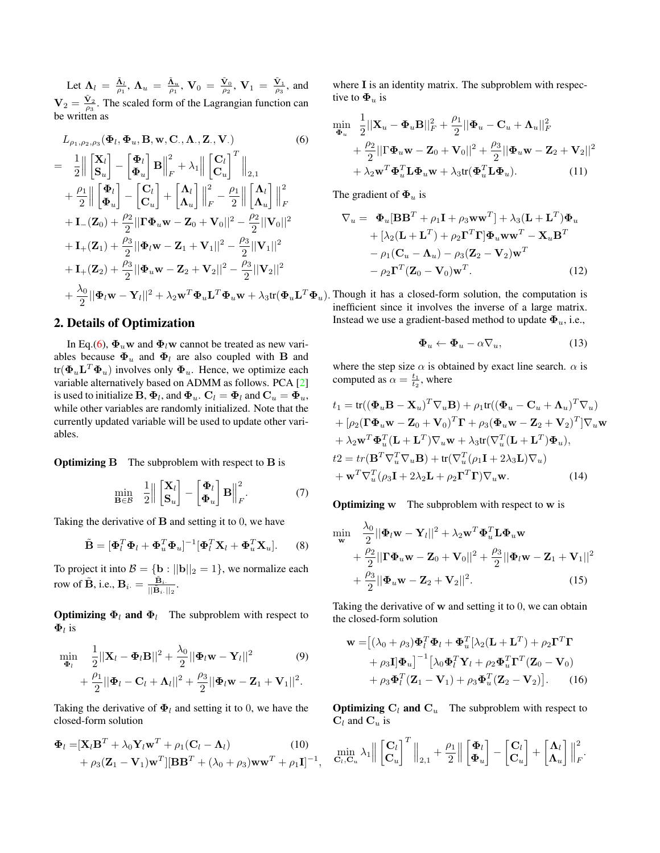<span id="page-1-2"></span>Let  $\Lambda_l = \frac{\tilde{\Lambda}_l}{\rho_1}$ ,  $\Lambda_u = \frac{\tilde{\Lambda}_u}{\rho_1}$ ,  $V_0 = \frac{\tilde{V}_0}{\rho_2}$ ,  $V_1 = \frac{\tilde{V}_1}{\rho_3}$ , and  $V_2 = \frac{\tilde{V}_2}{\rho_3}$ . The scaled form of the Lagrangian function can be written as

$$
L_{\rho_1, \rho_2, \rho_3}(\Phi_l, \Phi_u, \mathbf{B}, \mathbf{w}, \mathbf{C}, \mathbf{\Lambda}, \mathbf{Z}, \mathbf{V})
$$
\n
$$
= \frac{1}{2} \left\| \begin{bmatrix} \mathbf{X}_l \\ \mathbf{S}_u \end{bmatrix} - \begin{bmatrix} \Phi_l \\ \Phi_u \end{bmatrix} \mathbf{B} \right\|_F^2 + \lambda_1 \left\| \begin{bmatrix} \mathbf{C}_l \\ \mathbf{C}_u \end{bmatrix}^T \right\|_{2,1}
$$
\n
$$
+ \frac{\rho_1}{2} \left\| \begin{bmatrix} \Phi_l \\ \Phi_u \end{bmatrix} - \begin{bmatrix} \mathbf{C}_l \\ \mathbf{C}_u \end{bmatrix} + \begin{bmatrix} \mathbf{\Lambda}_l \\ \mathbf{\Lambda}_u \end{bmatrix} \right\|_F^2 - \frac{\rho_1}{2} \left\| \begin{bmatrix} \mathbf{\Lambda}_l \\ \mathbf{\Lambda}_u \end{bmatrix} \right\|_F^2
$$
\n
$$
+ \mathbf{I}_{-}(\mathbf{Z}_0) + \frac{\rho_2}{2} \|\mathbf{\Gamma}\Phi_u \mathbf{w} - \mathbf{Z}_0 + \mathbf{V}_0\|^2 - \frac{\rho_2}{2} \|\mathbf{V}_0\|^2
$$
\n
$$
+ \mathbf{I}_{+}(\mathbf{Z}_1) + \frac{\rho_3}{2} \|\Phi_l \mathbf{w} - \mathbf{Z}_1 + \mathbf{V}_1\|^2 - \frac{\rho_3}{2} \|\mathbf{V}_1\|^2
$$
\n
$$
+ \mathbf{I}_{+}(\mathbf{Z}_2) + \frac{\rho_3}{2} \|\Phi_u \mathbf{w} - \mathbf{Z}_2 + \mathbf{V}_2\|^2 - \frac{\rho_3}{2} \|\mathbf{V}_2\|^2
$$
\n
$$
+ \frac{\lambda_0}{2} \|\Phi_l \mathbf{w} - \mathbf{Y}_l\|^2 + \lambda_2 \mathbf{w}^T \Phi_u \mathbf{L}^T \Phi_u \mathbf{w} + \lambda_3 \text{tr}(\Phi_u \mathbf{L}^T \Phi_u \mathbf{L}^T \Phi_u \mathbf{W} - \mathbf{Y}_l \mathbf{W} \mathbf{W} \mathbf{W} \mathbf{W}
$$

## <span id="page-1-0"></span>2. Details of Optimization

In Eq.[\(6\)](#page-1-1),  $\Phi_u$ w and  $\Phi_l$ w cannot be treated as new variables because  $\Phi_u$  and  $\Phi_l$  are also coupled with **B** and tr $(\mathbf{\Phi}_u \mathbf{L}^T \mathbf{\Phi}_u)$  involves only  $\mathbf{\Phi}_u$ . Hence, we optimize each variable alternatively based on ADMM as follows. PCA [\[2\]](#page-3-0) is used to initialize  $\mathbf{B},\mathbf{\Phi}_l,$  and  $\mathbf{\Phi}_u.$   $\mathbf{C}_l=\mathbf{\Phi}_l$  and  $\mathbf{C}_u=\mathbf{\Phi}_u,$ while other variables are randomly initialized. Note that the currently updated variable will be used to update other variables.

**Optimizing B** The subproblem with respect to **B** is

$$
\min_{\mathbf{B}\in\mathcal{B}} \quad \frac{1}{2} \left\| \begin{bmatrix} \mathbf{X}_l \\ \mathbf{S}_u \end{bmatrix} - \begin{bmatrix} \mathbf{\Phi}_l \\ \mathbf{\Phi}_u \end{bmatrix} \mathbf{B} \right\|_F^2. \tag{7}
$$

Taking the derivative of  $B$  and setting it to 0, we have

$$
\tilde{\mathbf{B}} = [\mathbf{\Phi}_l^T \mathbf{\Phi}_l + \mathbf{\Phi}_u^T \mathbf{\Phi}_u]^{-1} [\mathbf{\Phi}_l^T \mathbf{X}_l + \mathbf{\Phi}_u^T \mathbf{X}_u].
$$
 (8)

To project it into  $\mathcal{B} = \{ \mathbf{b} : ||\mathbf{b}||_2 = 1 \}$ , we normalize each row of  $\tilde{\mathbf{B}}$ , i.e.,  $\mathbf{B}_{i \cdot} = \frac{\tilde{\mathbf{B}}_{i \cdot}}{||\tilde{\mathbf{B}}_{i \cdot}||}$  $\frac{\textbf{B}_{i\cdot}}{||\tilde{\textbf{B}}_{i\cdot}||_2}.$ 

**Optimizing**  $\Phi_l$  **and**  $\Phi_l$  The subproblem with respect to  $\Phi_l$  is

$$
\min_{\mathbf{\Phi}_l} \quad \frac{1}{2} ||\mathbf{X}_l - \mathbf{\Phi}_l \mathbf{B}||^2 + \frac{\lambda_0}{2} ||\mathbf{\Phi}_l \mathbf{w} - \mathbf{Y}_l||^2 \tag{9} + \frac{\rho_1}{2} ||\mathbf{\Phi}_l - \mathbf{C}_l + \mathbf{\Lambda}_l||^2 + \frac{\rho_3}{2} ||\mathbf{\Phi}_l \mathbf{w} - \mathbf{Z}_1 + \mathbf{V}_1||^2.
$$

Taking the derivative of  $\Phi_l$  and setting it to 0, we have the closed-form solution

$$
\Phi_l = [\mathbf{X}_l \mathbf{B}^T + \lambda_0 \mathbf{Y}_l \mathbf{w}^T + \rho_1 (\mathbf{C}_l - \mathbf{\Lambda}_l)
$$
\n
$$
+ \rho_3 (\mathbf{Z}_1 - \mathbf{V}_1) \mathbf{w}^T] [\mathbf{B} \mathbf{B}^T + (\lambda_0 + \rho_3) \mathbf{w} \mathbf{w}^T + \rho_1 \mathbf{I}]^{-1},
$$
\n(10)

where I is an identity matrix. The subproblem with respective to  $\Phi_u$  is

<span id="page-1-1"></span>
$$
\min_{\Phi_u} \frac{1}{2} ||\mathbf{X}_u - \Phi_u \mathbf{B}||_F^2 + \frac{\rho_1}{2} ||\Phi_u - \mathbf{C}_u + \mathbf{\Lambda}_u||_F^2 \n+ \frac{\rho_2}{2} ||\Gamma \Phi_u \mathbf{w} - \mathbf{Z}_0 + \mathbf{V}_0||^2 + \frac{\rho_3}{2} ||\Phi_u \mathbf{w} - \mathbf{Z}_2 + \mathbf{V}_2||^2 \n+ \lambda_2 \mathbf{w}^T \Phi_u^T \mathbf{L} \Phi_u \mathbf{w} + \lambda_3 \text{tr}(\Phi_u^T \mathbf{L} \Phi_u).
$$
\n(11)

The gradient of  $\Phi_u$  is

$$
\nabla_u = \Phi_u[\mathbf{B}\mathbf{B}^T + \rho_1 \mathbf{I} + \rho_3 \mathbf{w} \mathbf{w}^T] + \lambda_3 (\mathbf{L} + \mathbf{L}^T) \Phi_u \n+ [\lambda_2 (\mathbf{L} + \mathbf{L}^T) + \rho_2 \mathbf{\Gamma}^T \mathbf{\Gamma}] \Phi_u \mathbf{w} \mathbf{w}^T - \mathbf{X}_u \mathbf{B}^T \n- \rho_1 (\mathbf{C}_u - \mathbf{\Lambda}_u) - \rho_3 (\mathbf{Z}_2 - \mathbf{V}_2) \mathbf{w}^T \n- \rho_2 \mathbf{\Gamma}^T (\mathbf{Z}_0 - \mathbf{V}_0) \mathbf{w}^T.
$$
\n(12)

 ${}^{T}\mathbf{\Phi}_{u}$ ). Though it has a closed-form solution, the computation is inefficient since it involves the inverse of a large matrix. Instead we use a gradient-based method to update  $\Phi_u$ , i.e.,

$$
\mathbf{\Phi}_u \leftarrow \mathbf{\Phi}_u - \alpha \nabla_u,\tag{13}
$$

where the step size  $\alpha$  is obtained by exact line search.  $\alpha$  is computed as  $\alpha = \frac{t_1}{t_2}$ , where

$$
t_1 = \text{tr}((\Phi_u \mathbf{B} - \mathbf{X}_u)^T \nabla_u \mathbf{B}) + \rho_1 \text{tr}((\Phi_u - \mathbf{C}_u + \mathbf{\Lambda}_u)^T \nabla_u)
$$
  
+ 
$$
[\rho_2 (\mathbf{\Gamma} \Phi_u \mathbf{w} - \mathbf{Z}_0 + \mathbf{V}_0)^T \mathbf{\Gamma} + \rho_3 (\Phi_u \mathbf{w} - \mathbf{Z}_2 + \mathbf{V}_2)^T] \nabla_u \mathbf{w}
$$
  
+ 
$$
\lambda_2 \mathbf{w}^T \Phi_u^T (\mathbf{L} + \mathbf{L}^T) \nabla_u \mathbf{w} + \lambda_3 \text{tr}(\nabla_u^T (\mathbf{L} + \mathbf{L}^T) \Phi_u),
$$
  

$$
t_2 = tr(\mathbf{B}^T \nabla_u^T \nabla_u \mathbf{B}) + tr(\nabla_u^T (\rho_1 \mathbf{I} + 2\lambda_3 \mathbf{L}) \nabla_u)
$$
  
+ 
$$
\mathbf{w}^T \nabla_u^T (\rho_3 \mathbf{I} + 2\lambda_2 \mathbf{L} + \rho_2 \mathbf{\Gamma}^T \mathbf{\Gamma}) \nabla_u \mathbf{w}.
$$
 (14)

**Optimizing w** The subproblem with respect to w is

$$
\min_{\mathbf{w}} \quad \frac{\lambda_0}{2} ||\mathbf{\Phi}_l \mathbf{w} - \mathbf{Y}_l||^2 + \lambda_2 \mathbf{w}^T \mathbf{\Phi}_u^T \mathbf{L} \mathbf{\Phi}_u \mathbf{w} \n+ \frac{\rho_2}{2} ||\mathbf{\Gamma} \mathbf{\Phi}_u \mathbf{w} - \mathbf{Z}_0 + \mathbf{V}_0 ||^2 + \frac{\rho_3}{2} ||\mathbf{\Phi}_l \mathbf{w} - \mathbf{Z}_1 + \mathbf{V}_1 ||^2 \n+ \frac{\rho_3}{2} ||\mathbf{\Phi}_u \mathbf{w} - \mathbf{Z}_2 + \mathbf{V}_2 ||^2.
$$
\n(15)

Taking the derivative of w and setting it to 0, we can obtain the closed-form solution

$$
\mathbf{w} = [(\lambda_0 + \rho_3)\mathbf{\Phi}_l^T \mathbf{\Phi}_l + \mathbf{\Phi}_u^T [\lambda_2 (\mathbf{L} + \mathbf{L}^T) + \rho_2 \mathbf{\Gamma}^T \mathbf{\Gamma} + \rho_3 \mathbf{I} ] \mathbf{\Phi}_u]^{-1} [\lambda_0 \mathbf{\Phi}_l^T \mathbf{Y}_l + \rho_2 \mathbf{\Phi}_u^T \mathbf{\Gamma}^T (\mathbf{Z}_0 - \mathbf{V}_0) + \rho_3 \mathbf{\Phi}_l^T (\mathbf{Z}_1 - \mathbf{V}_1) + \rho_3 \mathbf{\Phi}_u^T (\mathbf{Z}_2 - \mathbf{V}_2)].
$$
 (16)

**Optimizing C<sub>l</sub>** and  $C_u$  The subproblem with respect to  $C_l$  and  $C_u$  is

$$
\min_{\mathbf{C}_l, \mathbf{C}_u} \lambda_1 \Big\| \begin{bmatrix} \mathbf{C}_l \\ \mathbf{C}_u \end{bmatrix}^T \Big\|_{2,1} + \frac{\rho_1}{2} \Big\| \begin{bmatrix} \boldsymbol{\Phi}_l \\ \boldsymbol{\Phi}_u \end{bmatrix} - \begin{bmatrix} \mathbf{C}_l \\ \mathbf{C}_u \end{bmatrix} + \begin{bmatrix} \boldsymbol{\Lambda}_l \\ \boldsymbol{\Lambda}_u \end{bmatrix} \Big\|_F^2.
$$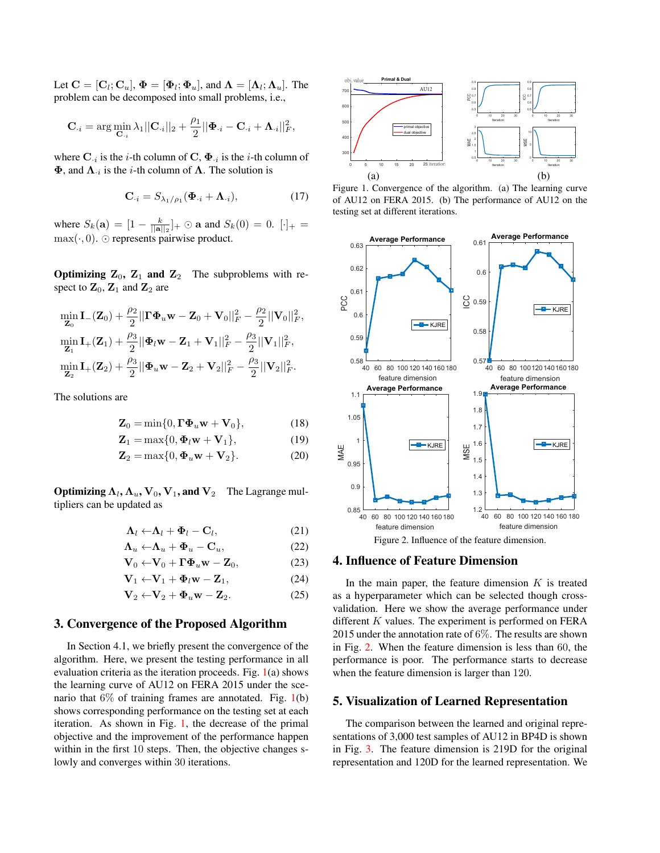Let  $\mathbf{C} = [\mathbf{C}_l; \mathbf{C}_u], \, \pmb{\Phi} = [\pmb{\Phi}_l; \pmb{\Phi}_u],$  and  $\pmb{\Lambda} = [\pmb{\Lambda}_l; \pmb{\Lambda}_u].$  The problem can be decomposed into small problems, i.e.,

$$
\mathbf{C}_{\cdot i} = \arg \min_{\mathbf{C}_{\cdot i}} \lambda_1 ||\mathbf{C}_{\cdot i}||_2 + \frac{\rho_1}{2} ||\mathbf{\Phi}_{\cdot i} - \mathbf{C}_{\cdot i} + \mathbf{\Lambda}_{\cdot i}||_F^2,
$$

where  $\mathbf{C}_{\cdot i}$  is the *i*-th column of  $\mathbf{C}, \mathbf{\Phi}_{\cdot i}$  is the *i*-th column of  $\Phi$ , and  $\Lambda_{i}$  is the *i*-th column of  $\Lambda$ . The solution is

$$
\mathbf{C}_{\cdot i} = S_{\lambda_1/\rho_1}(\mathbf{\Phi}_{\cdot i} + \mathbf{\Lambda}_{\cdot i}),\tag{17}
$$

where  $S_k(\mathbf{a}) = [1 - \frac{k}{||\mathbf{a}||_2}]_+ \odot \mathbf{a}$  and  $S_k(0) = 0$ .  $[\cdot]_+ =$  $\max(\cdot, 0)$ .  $\odot$  represents pairwise product.

**Optimizing Z<sub>0</sub>, Z<sub>1</sub> and Z<sub>2</sub>** The subproblems with respect to  $\mathbf{Z}_0$ ,  $\mathbf{Z}_1$  and  $\mathbf{Z}_2$  are

$$
\begin{aligned} &\min_{\mathbf{Z}_0} \mathbf{I}_{-}(\mathbf{Z}_0) + \frac{\rho_2}{2} || \mathbf{\Gamma} \mathbf{\Phi}_u \mathbf{w} - \mathbf{Z}_0 + \mathbf{V}_0 ||_F^2 - \frac{\rho_2}{2} || \mathbf{V}_0 ||_F^2, \\ &\min_{\mathbf{Z}_1} \mathbf{I}_{+}(\mathbf{Z}_1) + \frac{\rho_3}{2} || \mathbf{\Phi}_l \mathbf{w} - \mathbf{Z}_1 + \mathbf{V}_1 ||_F^2 - \frac{\rho_3}{2} || \mathbf{V}_1 ||_F^2, \\ &\min_{\mathbf{Z}_2} \mathbf{I}_{+}(\mathbf{Z}_2) + \frac{\rho_3}{2} || \mathbf{\Phi}_u \mathbf{w} - \mathbf{Z}_2 + \mathbf{V}_2 ||_F^2 - \frac{\rho_3}{2} || \mathbf{V}_2 ||_F^2. \end{aligned}
$$

The solutions are

$$
\mathbf{Z}_0 = \min\{0, \mathbf{\Gamma} \mathbf{\Phi}_u \mathbf{w} + \mathbf{V}_0\},\tag{18}
$$

$$
\mathbf{Z}_1 = \max\{0, \Phi_l \mathbf{w} + \mathbf{V}_1\},\tag{19}
$$

$$
\mathbf{Z}_2 = \max\{0, \Phi_u \mathbf{w} + \mathbf{V}_2\}.
$$
 (20)

**Optimizing**  $\Lambda_l$ ,  $\Lambda_u$ ,  $V_0$ ,  $V_1$ , and  $V_2$  The Lagrange multipliers can be updated as

$$
\mathbf{\Lambda}_l \leftarrow \mathbf{\Lambda}_l + \mathbf{\Phi}_l - \mathbf{C}_l, \tag{21}
$$

$$
\Lambda_u \leftarrow \Lambda_u + \Phi_u - \mathbf{C}_u, \tag{22}
$$

$$
\mathbf{V}_0 \leftarrow \mathbf{V}_0 + \mathbf{\Gamma} \mathbf{\Phi}_u \mathbf{w} - \mathbf{Z}_0, \tag{23}
$$

$$
\mathbf{V}_1 \leftarrow \mathbf{V}_1 + \Phi_l \mathbf{w} - \mathbf{Z}_1, \tag{24}
$$

$$
\mathbf{V}_2 \leftarrow \mathbf{V}_2 + \mathbf{\Phi}_u \mathbf{w} - \mathbf{Z}_2. \tag{25}
$$

## <span id="page-2-0"></span>3. Convergence of the Proposed Algorithm

In Section 4.1, we briefly present the convergence of the algorithm. Here, we present the testing performance in all evaluation criteria as the iteration proceeds. Fig. [1\(](#page-2-3)a) shows the learning curve of AU12 on FERA 2015 under the scenario that  $6\%$  of training frames are annotated. Fig. [1\(](#page-2-3)b) shows corresponding performance on the testing set at each iteration. As shown in Fig. [1,](#page-2-3) the decrease of the primal objective and the improvement of the performance happen within in the first 10 steps. Then, the objective changes slowly and converges within 30 iterations.



<span id="page-2-3"></span>Figure 1. Convergence of the algorithm. (a) The learning curve of AU12 on FERA 2015. (b) The performance of AU12 on the testing set at different iterations.



#### <span id="page-2-4"></span><span id="page-2-1"></span>4. Influence of Feature Dimension

In the main paper, the feature dimension  $K$  is treated as a hyperparameter which can be selected though crossvalidation. Here we show the average performance under different  $K$  values. The experiment is performed on FERA 2015 under the annotation rate of 6%. The results are shown in Fig. [2.](#page-2-4) When the feature dimension is less than 60, the performance is poor. The performance starts to decrease when the feature dimension is larger than 120.

### <span id="page-2-2"></span>5. Visualization of Learned Representation

The comparison between the learned and original representations of 3,000 test samples of AU12 in BP4D is shown in Fig. [3.](#page-3-1) The feature dimension is 219D for the original representation and 120D for the learned representation. We